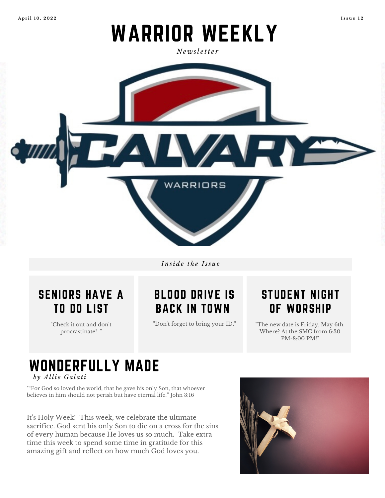**A p r il 1 0 , 2 0 2 2 I s s u e 1 2**

# WARRIOR WEEKLY

*N e w sl e tt e r*



*I n si d e t h e I ss u e*



"Check it out and don 't procrastinate! "

## BLOOD DRIVE IS BACK IN TOWN

"Don 't forget to bring your ID. "

### STUDENT NIGHT OF WORSHIP

"The new date is Friday, May 6th. Where? At the SMC from 6:30 PM-8:00 PM!"

#### WONDERFULLY MADE *b y A l li e G a l a ti*

""For God so loved the world, that he gave his only Son, that whoever believes in him should not perish but have eternal life." John 3:16

It' s Holy Week! This week, we celebrate the ultimate sacrifice. God sent his only Son to die on a cross for the sins of every human because He loves us so much. Take extra time this week to spend some time in gratitude for this amazing gift and reflect on how much God loves you.

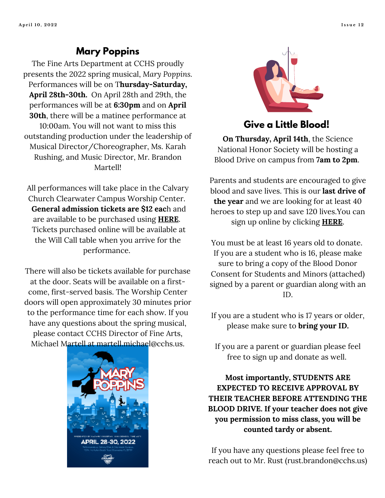#### **Mary Poppins**

The Fine Arts Department at CCHS proudly presents the 2022 spring musical, *Mary Poppins.* Performances will be on T**hursday-Saturday, April 28th-30th.** On April 28th and 29th, the performances will be at **6:30pm** and on **April 30th**, there will be a matinee performance at 10:00am. You will not want to miss this outstanding production under the leadership of Musical Director/Choreographer, Ms. Karah Rushing, and Music Director, Mr. Brandon Martell!

All performances will take place in the Calvary Church Clearwater Campus Worship Center. **General admission tickets are \$12 eac**h and are available to be purchased using **[HERE](https://payit.nelnet.net/form/URa4BlSo)**. Tickets purchased online will be available at the Will Call table when you arrive for the performance.

There will also be tickets available for purchase at the door. Seats will be available on a firstcome, first-served basis. The Worship Center doors will open approximately 30 minutes prior to the performance time for each show. If you have any questions about the spring musical, please contact CCHS Director of Fine Arts, Michael Martell at [martell.michael@cchs.us.](mailto:martell.michael@cchs.us)





#### **Give a Little Blood!**

**On Thursday, April 14th**, the Science National Honor Society will be hosting a Blood Drive on campus from **7am to 2pm**.

Parents and students are encouraged to give blood and save lives. This is our **last drive of the year** and we are looking for at least 40 heroes to step up and save 120 lives.You can sign up online by clicking **[HERE](https://donorportal.oneblood.org/donate-now/donation-centers-list-select-time?driveID=1117125)**.

You must be at least 16 years old to donate. If you are a student who is 16, please make sure to bring a copy of the Blood Donor Consent for Students and Minors (attached) signed by a parent or guardian along with an ID.

If you are a student who is 17 years or older, please make sure to **bring your ID.**

If you are a parent or guardian please feel free to sign up and donate as well.

**Most importantly, STUDENTS ARE EXPECTED TO RECEIVE APPROVAL BY THEIR TEACHER BEFORE ATTENDING THE BLOOD DRIVE. If your teacher does not give you permission to miss class, you will be counted tardy or absent.**

If you have any questions please feel free to reach out to Mr. Rust [\(rust.brandon@cchs.us\)](mailto:rust.brandon@cchs.us)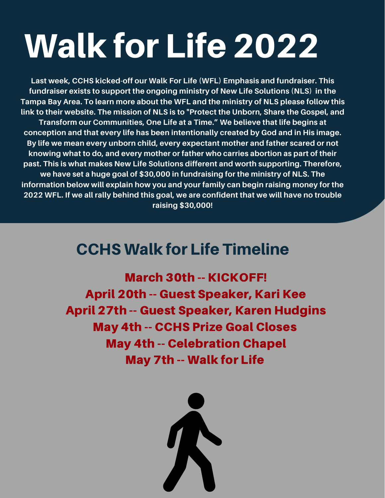# Walk for Life 2022

**Last week, CCHS kicked-off our Walk For Life (WFL) Emphasis and fundraiser. This fundraiser exists to support the ongoing ministry of New Life Solutions (NLS) in the Tampa Bay Area. To learn more about the WFL and the ministry of NLS please follow this link to their website. The mission of NLS is to "Protect the Unborn, Share the Gospel, and Transform our Communities, One Life at a Time." We believe that life begins at conception and that every life has been intentionally created by God and in His image. By life we mean every unborn child, every expectant mother and father scared or not knowing what to do, and every mother or father who carries abortion as part of their past. This is what makes New Life Solutions different and worth supporting. Therefore, we have set a huge goal of \$30,000 in fundraising for the ministry of NLS. The information below will explain how you and your family can begin raising money for the 2022 WFL. If we all rally behind this goal, we are confident that we will have no trouble raising \$30,000!**

# CCHS Walk for Life Timeline

March 30th -- KICKOFF! April 20th -- Guest Speaker, Kari Kee April 27th -- Guest Speaker, Karen Hudgins May 4th -- CCHS Prize Goal Closes May 4th -- Celebration Chapel May 7th -- Walk for Life

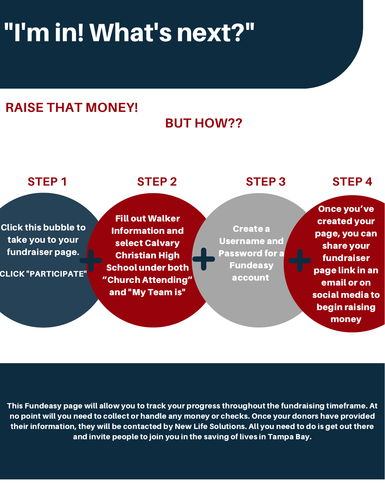# "I'm in! What's next?"

# **RAISE THAT MONEY!**

# **BUT HOW??**



This Fundeasy page will allow you to track your progress throughout the fundraising timeframe. At no point will you need to collect or handle any money or checks. Once your donors have provided their information, they will be contacted by New Life Solutions. All you need to do is get out there and invite people to join you in the saving of lives in Tampa Bay.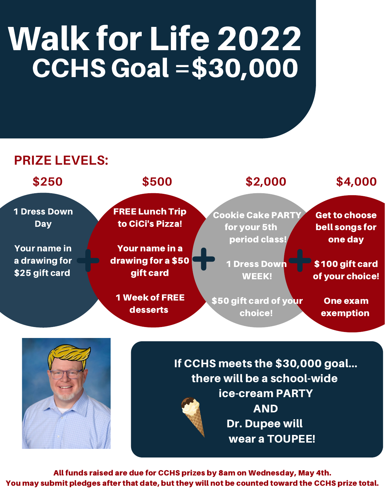# Walk for Life 2022 CCHS Goal =\$30,000

### **PRIZE LEVELS:**



AND Dr. Dupee will wear a TOUPEE!

All funds raised are due for CCHS prizes by 8am on Wednesday, May 4th. You may submit pledges after that date, but they will not be counted toward the CCHS prize total.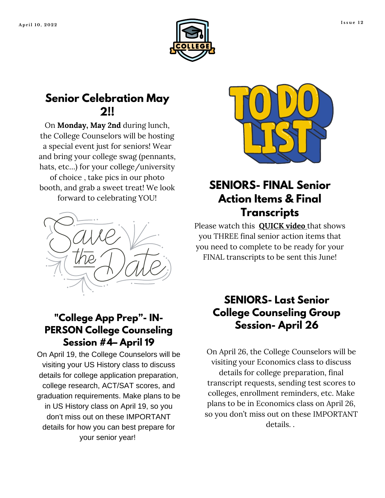



#### **Senior Celebration May 2!!**

On **Monday, May 2nd** during lunch, the College Counselors will be hosting a special event just for seniors! Wear and bring your college swag (pennants, hats, etc…) for your college/university of choice , take pics in our photo booth, and grab a sweet treat! We look forward to celebrating YOU!



#### **"College App Prep"- IN-PERSON College Counseling Session #4– April 19**

On April 19, the College Counselors will be visiting your US History class to discuss details for college application preparation, college research, ACT/SAT scores, and graduation requirements. Make plans to be in US History class on April 19, so you don't miss out on these IMPORTANT details for how you can best prepare for your senior year!



### **SENIORS- FINAL Senior Action Items & Final Transcripts**

Please watch this **[QUICK](https://vimeo.com/537712681) video** that shows you THREE final senior action items that you need to complete to be ready for your FINAL transcripts to be sent this June!

#### **SENIORS- Last Senior College Counseling Group Session- April 26**

On April 26, the College Counselors will be visiting your Economics class to discuss details for college preparation, final transcript requests, sending test scores to colleges, enrollment reminders, etc. Make plans to be in Economics class on April 26, so you don't miss out on these IMPORTANT details. .